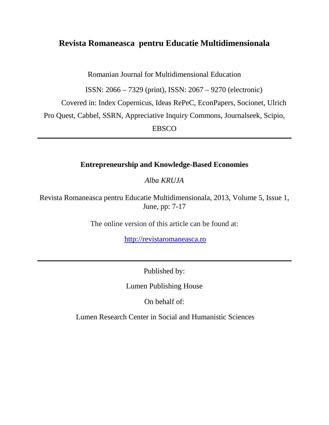# **Revista Romaneasca pentru Educatie Multidimensionala**

Romanian Journal for Multidimensional Education

ISSN: 2066 – 7329 (print), ISSN: 2067 – 9270 (electronic)

Covered in: Index Copernicus, Ideas RePeC, EconPapers, Socionet, Ulrich

Pro Quest, Cabbel, SSRN, Appreciative Inquiry Commons, Journalseek, Scipio,

EBSCO

# **Entrepreneurship and Knowledge-Based Economies**

*Alba KRUJA*

Revista Romaneasca pentru Educatie Multidimensionala, 2013, Volume 5, Issue 1, June, pp: 7-17

The online version of this article can be found at:

[http://revistaromaneasca.ro](http://revistaromaneasca.ro/)

Published by:

Lumen Publishing House

On behalf of:

Lumen Research Center in Social and Humanistic Sciences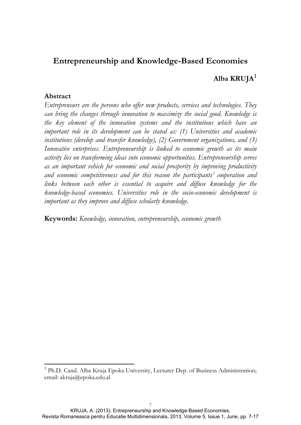# **Entrepreneurship and Knowledge-Based Economies Alba KRUJA**[1](#page-6-0)

#### **Abstract**

*Entrepreneurs are the persons who offer new products, services and technologies. They can bring the changes through innovation to maximize the social good. Knowledge is the key element of the innovation systems and the institutions which have an important role in its development can be stated as: (1) Universities and academic institutions (develop and transfer knowledge), (2) Government organizations, and (3) Innovative enterprises. Entrepreneurship is linked to economic growth as its main activity lies on transforming ideas into economic opportunities. Entrepreneurship serves as an important vehicle for economic and social prosperity by improving productivity and economic competitiveness and for this reason the participants' cooperation and links between each other is essential to acquire and diffuse knowledge for the knowledge-based economies. Universities role in the socio-economic development is important as they improve and diffuse scholarly knowledge.*

**Keywords:** *Knowledge, innovation, entrepreneurship, economic growth*

<sup>&</sup>lt;sup>1</sup> Ph.D. Cand. Alba Kruja Epoka University, Lecturer Dep. of Business Administration; email: akruja@epoka.edu.al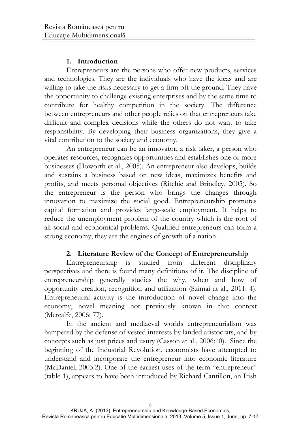## **1. Introduction**

Entrepreneurs are the persons who offer new products, services and technologies. They are the individuals who have the ideas and are willing to take the risks necessary to get a firm off the ground. They have the opportunity to challenge existing enterprises and by the same time to contribute for healthy competition in the society. The difference between entrepreneurs and other people relies on that entrepreneurs take difficult and complex decisions while the others do not want to take responsibility. By developing their business organizations, they give a vital contribution to the society and economy.

An entrepreneur can be an innovator, a risk taker, a person who operates resources, recognizes opportunities and establishes one or more businesses (Howorth et al., 2005). An entrepreneur also develops, builds and sustains a business based on new ideas, maximizes benefits and profits, and meets personal objectives (Ritchie and Brindley, 2005). So the entrepreneur is the person who brings the changes through innovation to maximize the social good. Entrepreneurship promotes capital formation and provides large-scale employment. It helps to reduce the unemployment problem of the country which is the root of all social and economical problems. Qualified entrepreneurs can form a strong economy; they are the engines of growth of a nation.

# **2. Literature Review of the Concept of Entrepreneurship**

Entrepreneurship is studied from different disciplinary perspectives and there is found many definitions of it. The discipline of entrepreneurship generally studies the why, when and how of opportunity creation, recognition and utilization (Szimai at al., 2011: 4). Entrepreneurial activity is the introduction of novel change into the economy, novel meaning not previously known in that context (Metcalfe, 2006: 77).

In the ancient and mediaeval worlds entrepreneurialism was hampered by the defense of vested interests by landed aristocrats, and by concepts such as just prices and usury (Casson at al., 2006:10). Since the beginning of the Industrial Revolution, economists have attempted to understand and incorporate the entrepreneur into economic literature (McDaniel, 2003:2). One of the earliest uses of the term "entrepreneur" (table 1), appears to have been introduced by Richard Cantillon, an Irish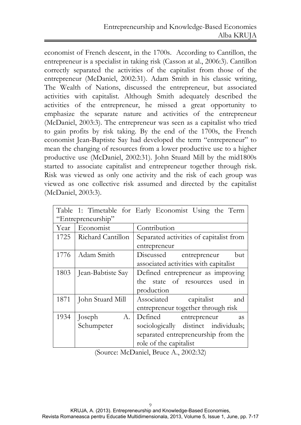economist of French descent, in the 1700s. According to Cantillon, the entrepreneur is a specialist in taking risk (Casson at al., 2006:3). Cantillon correctly separated the activities of the capitalist from those of the entrepreneur (McDaniel, 2002:31). Adam Smith in his classic writing, The Wealth of Nations, discussed the entrepreneur, but associated activities with capitalist. Although Smith adequately described the activities of the entrepreneur, he missed a great opportunity to emphasize the separate nature and activities of the entrepreneur (McDaniel, 2003:3). The entrepreneur was seen as a capitalist who tried to gain profits by risk taking. By the end of the 1700s, the French economist Jean-Baptiste Say had developed the term "entrepreneur" to mean the changing of resources from a lower productive use to a higher productive use (McDaniel, 2002:31). John Stuard Mill by the mid1800s started to associate capitalist and entrepreneur together through risk. Risk was viewed as only one activity and the risk of each group was viewed as one collective risk assumed and directed by the capitalist (McDaniel, 2003:3).

|                    |                          | Table 1: Timetable for Early Economist Using the Term |
|--------------------|--------------------------|-------------------------------------------------------|
| "Entrepreneurship" |                          |                                                       |
| Year               | Economist                | Contribution                                          |
|                    | 1725   Richard Cantillon | Separated activities of capitalist from               |
|                    |                          | entrepreneur                                          |
| 1776               | Adam Smith               | Discussed entrepreneur<br>but                         |
|                    |                          | associated activities with capitalist                 |
| 1803               | Jean-Babtiste Say        | Defined entrepreneur as improving                     |
|                    |                          | the state of resources used<br>in                     |
|                    |                          | production                                            |
| 1871               | John Stuard Mill         | Associated capitalist<br>and                          |
|                    |                          | entrepreneur together through risk                    |
| 1934               | Joseph<br>A.             | Defined entrepreneur<br><b>as</b>                     |
|                    | Schumpeter               | sociologically distinct individuals;                  |
|                    |                          | separated entrepreneurship from the                   |
|                    |                          | role of the capitalist                                |

(Source: McDaniel, Bruce A., 2002:32)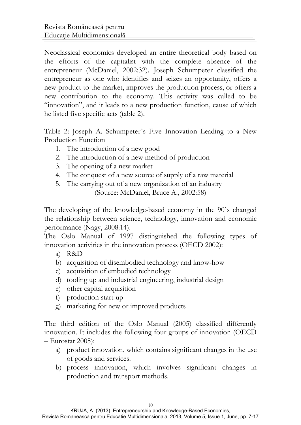Neoclassical economics developed an entire theoretical body based on the efforts of the capitalist with the complete absence of the entrepreneur (McDaniel, 2002:32). Joseph Schumpeter classified the entrepreneur as one who identifies and seizes an opportunity, offers a new product to the market, improves the production process, or offers a new contribution to the economy. This activity was called to be "innovation", and it leads to a new production function, cause of which he listed five specific acts (table 2).

Table 2: Joseph A. Schumpeter`s Five Innovation Leading to a New Production Function

- 1. The introduction of a new good
- 2. The introduction of a new method of production
- 3. The opening of a new market
- 4. The conquest of a new source of supply of a raw material
- 5. The carrying out of a new organization of an industry (Source: McDaniel, Bruce A., 2002:58)

The developing of the knowledge-based economy in the 90`s changed the relationship between science, technology, innovation and economic performance (Nagy, 2008:14).

The Oslo Manual of 1997 distinguished the following types of innovation activities in the innovation process (OECD 2002):

- a) R&D
- b) acquisition of disembodied technology and know-how
- c) acquisition of embodied technology
- d) tooling up and industrial engineering, industrial design
- e) other capital acquisition
- f) production start-up
- g) marketing for new or improved products

The third edition of the Oslo Manual (2005) classified differently innovation. It includes the following four groups of innovation (OECD – Eurostat 2005):

- a) product innovation, which contains significant changes in the use of goods and services.
- b) process innovation, which involves significant changes in production and transport methods.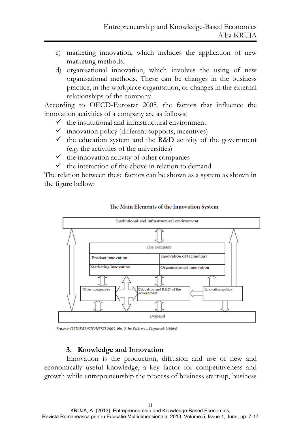- c) marketing innovation, which includes the application of new marketing methods.
- d) organisational innovation, which involves the using of new organisational methods. These can be changes in the business practice, in the workplace organisation, or changes in the external relationships of the company.

According to OECD-Eurostat 2005, the factors that influence the innovation activities of a company are as follows:

- $\checkmark$  the institutional and infrastructural environment
- $\checkmark$  innovation policy (different supports, incentives)
- $\checkmark$  the education system and the R&D activity of the government (e.g. the activities of the universities)
- $\checkmark$  the innovation activity of other companies
- $\checkmark$  the interaction of the above in relation to demand

The relation between these factors can be shown as a system as shown in the figure bellow:



#### The Main Elements of the Innovation System

Source: DSTI/EAS/STP/NESTI 2005. No. 2. In: Pakucs - Papanek 2006:8

### **3. Knowledge and Innovation**

Innovation is the production, diffusion and use of new and economically useful knowledge, a key factor for competitiveness and growth while entrepreneurship the process of business start-up, business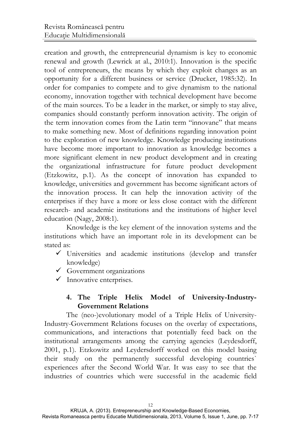creation and growth, the entrepreneurial dynamism is key to economic renewal and growth (Lewrick at al., 2010:1). Innovation is the specific tool of entrepreneurs, the means by which they exploit changes as an opportunity for a different business or service (Drucker, 1985:32). In order for companies to compete and to give dynamism to the national economy, innovation together with technical development have become of the main sources. To be a leader in the market, or simply to stay alive, companies should constantly perform innovation activity. The origin of the term innovation comes from the Latin term "innovane" that means to make something new. Most of definitions regarding innovation point to the exploration of new knowledge. Knowledge producing institutions have become more important to innovation as knowledge becomes a more significant element in new product development and in creating the organizational infrastructure for future product development (Etzkowitz, p.1). As the concept of innovation has expanded to knowledge, universities and government has become significant actors of the innovation process. It can help the innovation activity of the enterprises if they have a more or less close contact with the different research- and academic institutions and the institutions of higher level education (Nagy, 2008:1).

Knowledge is the key element of the innovation systems and the institutions which have an important role in its development can be stated as:

- Universities and academic institutions (develop and transfer knowledge)
- $\checkmark$  Government organizations
- $\checkmark$  Innovative enterprises.

## **4. The Triple Helix Model of University-Industry-Government Relations**

<span id="page-6-0"></span>The (neo-)evolutionary model of a Triple Helix of University-Industry-Government Relations focuses on the overlay of expectations, communications, and interactions that potentially feed back on the institutional arrangements among the carrying agencies (Leydesdorff, 2001, p.1). Etzkowitz and Leydersdorff worked on this model basing their study on the permanently successful developing countries` experiences after the Second World War. It was easy to see that the industries of countries which were successful in the academic field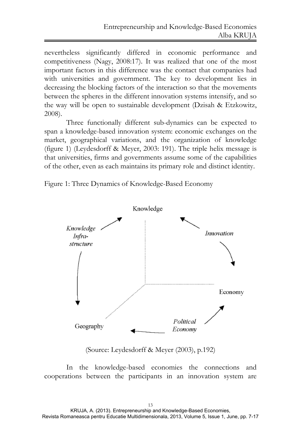nevertheless significantly differed in economic performance and competitiveness (Nagy, 2008:17). It was realized that one of the most important factors in this difference was the contact that companies had with universities and government. The key to development lies in decreasing the blocking factors of the interaction so that the movements between the spheres in the different innovation systems intensify, and so the way will be open to sustainable development (Dzisah & Etzkowitz, 2008).

Three functionally different sub-dynamics can be expected to span a knowledge-based innovation system: economic exchanges on the market, geographical variations, and the organization of knowledge (figure 1) (Leydesdorff & Meyer, 2003: 191). The triple helix message is that universities, firms and governments assume some of the capabilities of the other, even as each maintains its primary role and distinct identity.

Figure 1: Three Dynamics of Knowledge-Based Economy



(Source: Leydesdorff & Meyer (2003), p.192)

In the knowledge-based economies the connections and cooperations between the participants in an innovation system are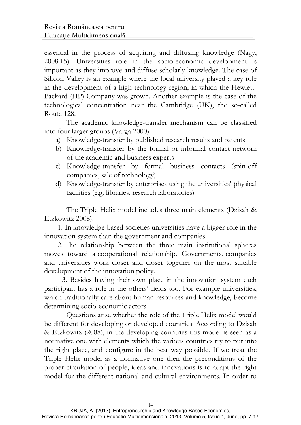essential in the process of acquiring and diffusing knowledge (Nagy, 2008:15). Universities role in the socio-economic development is important as they improve and diffuse scholarly knowledge. The case of Silicon Valley is an example where the local university played a key role in the development of a high technology region, in which the Hewlett-Packard (HP) Company was grown. Another example is the case of the technological concentration near the Cambridge (UK), the so-called Route 128.

The academic knowledge-transfer mechanism can be classified into four larger groups (Varga 2000):

- a) Knowledge-transfer by published research results and patents
- b) Knowledge-transfer by the formal or informal contact network of the academic and business experts
- c) Knowledge-transfer by formal business contacts (spin-off companies, sale of technology)
- d) Knowledge-transfer by enterprises using the universities' physical facilities (e.g. libraries, research laboratories)

The Triple Helix model includes three main elements (Dzisah & Etzkowitz 2008):

1. In knowledge-based societies universities have a bigger role in the innovation system than the government and companies.

2. The relationship between the three main institutional spheres moves toward a cooperational relationship. Governments, companies and universities work closer and closer together on the most suitable development of the innovation policy.

3. Besides having their own place in the innovation system each participant has a role in the others' fields too. For example universities, which traditionally care about human resources and knowledge, become determining socio-economic actors.

Questions arise whether the role of the Triple Helix model would be different for developing or developed countries. According to Dzisah & Etzkowitz (2008), in the developing countries this model is seen as a normative one with elements which the various countries try to put into the right place, and configure in the best way possible. If we treat the Triple Helix model as a normative one then the preconditions of the proper circulation of people, ideas and innovations is to adapt the right model for the different national and cultural environments. In order to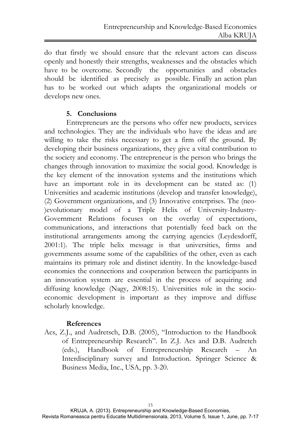do that firstly we should ensure that the relevant actors can discuss openly and honestly their strengths, weaknesses and the obstacles which have to be overcome. Secondly the opportunities and obstacles should be identified as precisely as possible. Finally an action plan has to be worked out which adapts the organizational models or develops new ones.

# **5. Conclusions**

Entrepreneurs are the persons who offer new products, services and technologies. They are the individuals who have the ideas and are willing to take the risks necessary to get a firm off the ground. By developing their business organizations, they give a vital contribution to the society and economy. The entrepreneur is the person who brings the changes through innovation to maximize the social good. Knowledge is the key element of the innovation systems and the institutions which have an important role in its development can be stated as: (1) Universities and academic institutions (develop and transfer knowledge), (2) Government organizations, and (3) Innovative enterprises. The (neo- )evolutionary model of a Triple Helix of University-Industry-Government Relations focuses on the overlay of expectations, communications, and interactions that potentially feed back on the institutional arrangements among the carrying agencies (Leydesdorff, 2001:1). The triple helix message is that universities, firms and governments assume some of the capabilities of the other, even as each maintains its primary role and distinct identity. In the knowledge-based economies the connections and cooperation between the participants in an innovation system are essential in the process of acquiring and diffusing knowledge (Nagy, 2008:15). Universities role in the socioeconomic development is important as they improve and diffuse scholarly knowledge.

# **References**

Acs, Z.J., and Audretsch, D.B. (2005), "Introduction to the Handbook of Entrepreneurship Research". In Z.J. Acs and D.B. Audretch (eds.), Handbook of Entrepreneurship Research – An Interdisciplinary survey and Introduction. Springer Science & Business Media, Inc., USA, pp. 3-20.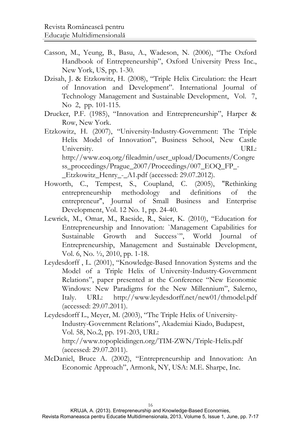- Casson, M., Yeung, B., Basu, A., Wadeson, N. (2006), "The Oxford Handbook of Entrepreneurship", Oxford University Press Inc., New York, US, pp. 1-30.
- Dzisah, J. & Etzkowitz, H. (2008), "Triple Helix Circulation: the Heart of Innovation and Development". International Journal of Technology Management and Sustainable Development, Vol. 7, No 2, pp. 101-115.
- Drucker, P.F. (1985), "Innovation and Entrepreneurship", Harper & Row, New York.
- Etzkowitz, H. (2007), "University-Industry-Government: The Triple Helix Model of Innovation", Business School, New Castle University. URL: http://www.eoq.org/fileadmin/user\_upload/Documents/Congre ss\_proceedings/Prague\_2007/Proceedings/007\_EOQ\_FP\_-\_Etzkowitz\_Henry\_-\_A1.pdf (accessed: 29.07.2012).
- Howorth, C., Tempest, S., Coupland, C. (2005), "Rethinking entrepreneurship methodology and definitions of the entrepreneur", Journal of Small Business and Enterprise Development, Vol. 12 No. 1, pp. 24-40.
- Lewrick, M., Omar, M., Raeside, R., Saier, K. (2010), "Education for Entrepreneurship and Innovation: `Management Capabilities for Sustainable Growth and Success`", World Journal of Entrepreneurship, Management and Sustainable Development, Vol. 6, No. ½, 2010, pp. 1-18.
- Leydesdorff , L. (2001), "Knowledge-Based Innovation Systems and the Model of a Triple Helix of University-Industry-Government Relations", paper presented at the Conference "New Economic Windows: New Paradigms for the New Millennium", Salerno, Italy. URL: http://www.leydesdorff.net/new01/thmodel.pdf (accessed: 29.07.2011).
- Leydesdorff L., Meyer, M. (2003), "The Triple Helix of University-Industry-Government Relations", Akademiai Kiado, Budapest, Vol. 58, No.2, pp. 191-203, URL: http://www.topopleidingen.org/TIM-ZWN/Triple-Helix.pdf (accessed: 29.07.2011).
- McDaniel, Bruce A. (2002), "Entrepreneurship and Innovation: An Economic Approach", Armonk, NY, USA: M.E. Sharpe, Inc.